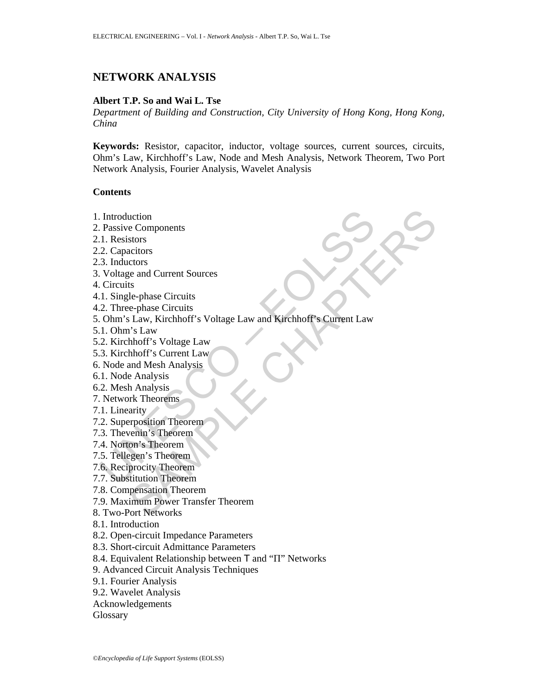# **NETWORK ANALYSIS**

# **Albert T.P. So and Wai L. Tse**

*Department of Building and Construction, City University of Hong Kong, Hong Kong, China* 

**Keywords:** Resistor, capacitor, inductor, voltage sources, current sources, circuits, Ohm's Law, Kirchhoff's Law, Node and Mesh Analysis, Network Theorem, Two Port Network Analysis, Fourier Analysis, Wavelet Analysis

#### **Contents**

- 1. Introduction
- 2. Passive Components
- 2.1. Resistors
- 2.2. Capacitors
- 2.3. Inductors
- 3. Voltage and Current Sources
- 4. Circuits
- 4.1. Single-phase Circuits
- 4.2. Three-phase Circuits
- Introduction<br>
2. Resistors<br>
1. Resistors<br>
1. Resistors<br>
3. Inductors<br>
3. Inductors<br>
2. Capacitors<br>
2. Three-phase Circuits<br>
2. Three-phase Circuits<br>
2. Three-phase Circuits<br>
2. Three-phase Circuits<br>
2. Three-phase Circuits uction<br>
e Components<br>
stors<br>
ciclors<br>
ciclors<br>
ciclors<br>
chapted Circuits<br>
e-phase Circuits<br>
is Law<br>
bhoff's Voltage Law<br>
hhoff's Voltage Law<br>
hhoff's Voltage Law<br>
and Mesh Analysis<br>
and Mesh Analysis<br>
and Mesh Analysis<br>
wh 5. Ohm's Law, Kirchhoff's Voltage Law and Kirchhoff's Current Law
- 5.1. Ohm's Law
- 5.2. Kirchhoff's Voltage Law
- 5.3. Kirchhoff's Current Law
- 6. Node and Mesh Analysis
- 6.1. Node Analysis
- 6.2. Mesh Analysis
- 7. Network Theorems
- 7.1. Linearity
- 7.2. Superposition Theorem
- 7.3. Thevenin's Theorem
- 7.4. Norton's Theorem
- 7.5. Tellegen's Theorem
- 7.6. Reciprocity Theorem
- 7.7. Substitution Theorem
- 7.8. Compensation Theorem
- 7.9. Maximum Power Transfer Theorem
- 8. Two-Port Networks
- 8.1. Introduction
- 8.2. Open-circuit Impedance Parameters
- 8.3. Short-circuit Admittance Parameters
- 8.4. Equivalent Relationship between T and "П" Networks
- 9. Advanced Circuit Analysis Techniques
- 9.1. Fourier Analysis
- 9.2. Wavelet Analysis
- Acknowledgements
- **Glossary**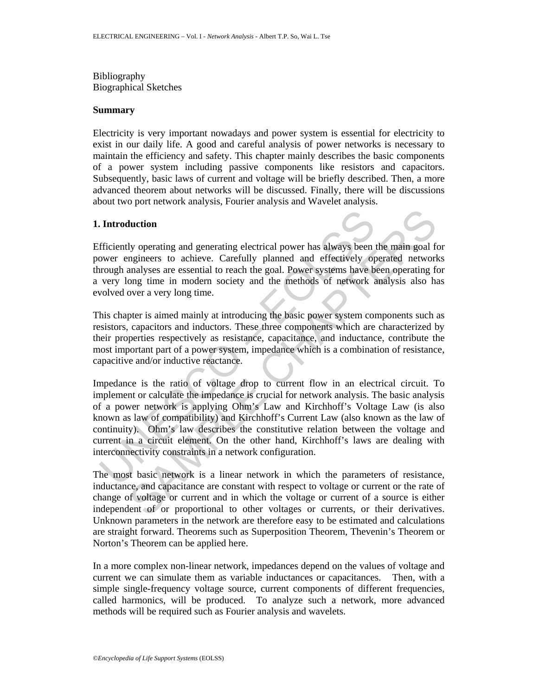Bibliography Biographical Sketches

### **Summary**

Electricity is very important nowadays and power system is essential for electricity to exist in our daily life. A good and careful analysis of power networks is necessary to maintain the efficiency and safety. This chapter mainly describes the basic components of a power system including passive components like resistors and capacitors. Subsequently, basic laws of current and voltage will be briefly described. Then, a more advanced theorem about networks will be discussed. Finally, there will be discussions about two port network analysis, Fourier analysis and Wavelet analysis.

## **1. Introduction**

Efficiently operating and generating electrical power has always been the main goal for power engineers to achieve. Carefully planned and effectively operated networks through analyses are essential to reach the goal. Power systems have been operating for a very long time in modern society and the methods of network analysis also has evolved over a very long time.

This chapter is aimed mainly at introducing the basic power system components such as resistors, capacitors and inductors. These three components which are characterized by their properties respectively as resistance, capacitance, and inductance, contribute the most important part of a power system, impedance which is a combination of resistance, capacitive and/or inductive reactance.

**Introduction**<br> **Introduction**<br>
fficiently operating and generating electrical power has always been<br>
ower engineers to achieve. Carefully planned and effectively op<br>
orough analyses are essential to reach the goal. Power **Interior**<br>Il properating and generating electrical power has always been the main goal frequencies to achieve. Carefully planned and effectively operated network<br>analyses are essential to reach the goal. Power systems hav Impedance is the ratio of voltage drop to current flow in an electrical circuit. To implement or calculate the impedance is crucial for network analysis. The basic analysis of a power network is applying Ohm's Law and Kirchhoff's Voltage Law (is also known as law of compatibility) and Kirchhoff's Current Law (also known as the law of continuity). Ohm's law describes the constitutive relation between the voltage and current in a circuit element. On the other hand, Kirchhoff's laws are dealing with interconnectivity constraints in a network configuration.

The most basic network is a linear network in which the parameters of resistance, inductance, and capacitance are constant with respect to voltage or current or the rate of change of voltage or current and in which the voltage or current of a source is either independent of or proportional to other voltages or currents, or their derivatives. Unknown parameters in the network are therefore easy to be estimated and calculations are straight forward. Theorems such as Superposition Theorem, Thevenin's Theorem or Norton's Theorem can be applied here.

In a more complex non-linear network, impedances depend on the values of voltage and current we can simulate them as variable inductances or capacitances. Then, with a simple single-frequency voltage source, current components of different frequencies, called harmonics, will be produced. To analyze such a network, more advanced methods will be required such as Fourier analysis and wavelets.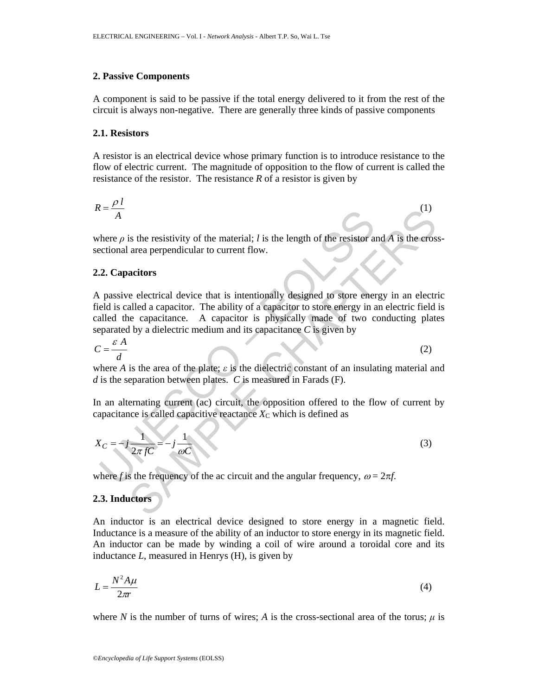### **2. Passive Components**

A component is said to be passive if the total energy delivered to it from the rest of the circuit is always non-negative. There are generally three kinds of passive components

#### **2.1. Resistors**

A resistor is an electrical device whose primary function is to introduce resistance to the flow of electric current. The magnitude of opposition to the flow of current is called the resistance of the resistor. The resistance *R* of a resistor is given by

$$
R = \frac{\rho \, l}{A} \tag{1}
$$

where  $\rho$  is the resistivity of the material; *l* is the length of the resistor and *A* is the crosssectional area perpendicular to current flow.

### **2.2. Capacitors**

 $\overline{A}$ <br>
there  $\rho$  is the resistivity of the material; *l* is the length of the resistor and area perpendicular to current flow.<br> **2. Capacitors**<br>
passive electrical device that is intentionally designed to store energe (1)<br>
is the resistivity of the material; *l* is the length of the resistor and *A* is the eros<br>
area perpendicular to current flow.<br>
actions<br>
actions<br>
electrical device that is intentionally designed to store energy in an A passive electrical device that is intentionally designed to store energy in an electric field is called a capacitor. The ability of a capacitor to store energy in an electric field is called the capacitance. A capacitor is physically made of two conducting plates separated by a dielectric medium and its capacitance *C* is given by

$$
C = \frac{\varepsilon A}{d}
$$
 (2)

where *A* is the area of the plate; *ε* is the dielectric constant of an insulating material and *d* is the separation between plates. *C* is measured in Farads (F).

In an alternating current (ac) circuit, the opposition offered to the flow of current by capacitance is called capacitive reactance  $X<sub>C</sub>$  which is defined as

$$
X_C = -j\frac{1}{2\pi fC} = -j\frac{1}{\omega C}
$$
 (3)

where *f* is the frequency of the ac circuit and the angular frequency,  $\omega = 2\pi f$ .

# **2.3. Inductors**

An inductor is an electrical device designed to store energy in a magnetic field. Inductance is a measure of the ability of an inductor to store energy in its magnetic field. An inductor can be made by winding a coil of wire around a toroidal core and its inductance *L*, measured in Henrys (H), is given by

$$
L = \frac{N^2 A \mu}{2\pi r} \tag{4}
$$

where *N* is the number of turns of wires; *A* is the cross-sectional area of the torus;  $\mu$  is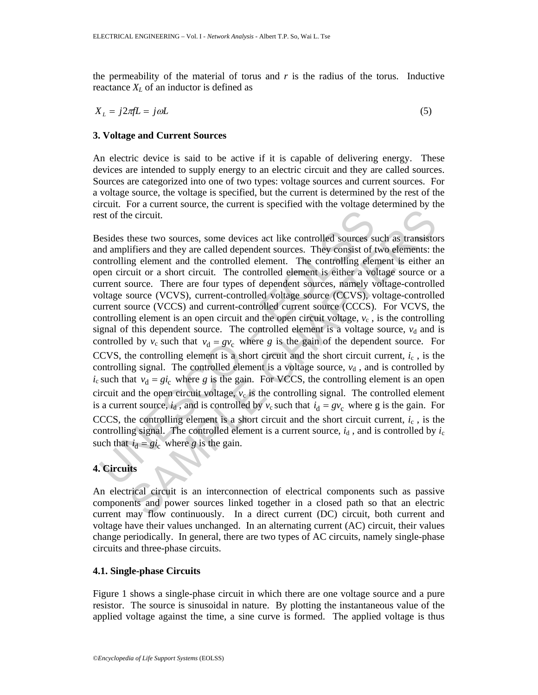the permeability of the material of torus and  $r$  is the radius of the torus. Inductive reactance  $X_L$  of an inductor is defined as

$$
X_L = j2\pi f L = j\omega L \tag{5}
$$

# **3. Voltage and Current Sources**

An electric device is said to be active if it is capable of delivering energy. These devices are intended to supply energy to an electric circuit and they are called sources. Sources are categorized into one of two types: voltage sources and current sources. For a voltage source, the voltage is specified, but the current is determined by the rest of the circuit. For a current source, the current is specified with the voltage determined by the rest of the circuit.

est of the circuit.<br>
esides these two sources, some devices act like controlled sources s<br>
and amplifiers and they are called dependent sources. They consist of<br>
ontrolling element and the controlled element. The controll is eiter that the controlled dement is a velocity of the system and the state of the controlled solutions and they are called dependent sources. They consist of two elements: the controlling element and the controlled ele Besides these two sources, some devices act like controlled sources such as transistors and amplifiers and they are called dependent sources. They consist of two elements: the controlling element and the controlled element. The controlling element is either an open circuit or a short circuit. The controlled element is either a voltage source or a current source. There are four types of dependent sources, namely voltage-controlled voltage source (VCVS), current-controlled voltage source (CCVS), voltage-controlled current source (VCCS) and current-controlled current source (CCCS). For VCVS, the controlling element is an open circuit and the open circuit voltage,  $v_c$ , is the controlling signal of this dependent source. The controlled element is a voltage source,  $v<sub>d</sub>$  and is controlled by  $v_c$  such that  $v_d = gv_c$  where *g* is the gain of the dependent source. For CCVS, the controlling element is a short circuit and the short circuit current,  $i_c$ , is the controlling signal. The controlled element is a voltage source,  $v_d$ , and is controlled by  $i_c$  such that  $v_d = gi_c$  where *g* is the gain. For VCCS, the controlling element is an open circuit and the open circuit voltage,  $v_c$  is the controlling signal. The controlled element is a current source,  $i_d$ , and is controlled by  $v_c$  such that  $i_d = gv_c$  where g is the gain. For CCCS, the controlling element is a short circuit and the short circuit current,  $i_c$ , is the controlling signal. The controlled element is a current source,  $i_d$ , and is controlled by  $i_c$ such that  $i_d = gi_c$  where *g* is the gain.

# **4. Circuits**

An electrical circuit is an interconnection of electrical components such as passive components and power sources linked together in a closed path so that an electric current may flow continuously. In a direct current (DC) circuit, both current and voltage have their values unchanged. In an alternating current (AC) circuit, their values change periodically. In general, there are two types of AC circuits, namely single-phase circuits and three-phase circuits.

# **4.1. Single-phase Circuits**

Figure 1 shows a single-phase circuit in which there are one voltage source and a pure resistor. The source is sinusoidal in nature. By plotting the instantaneous value of the applied voltage against the time, a sine curve is formed. The applied voltage is thus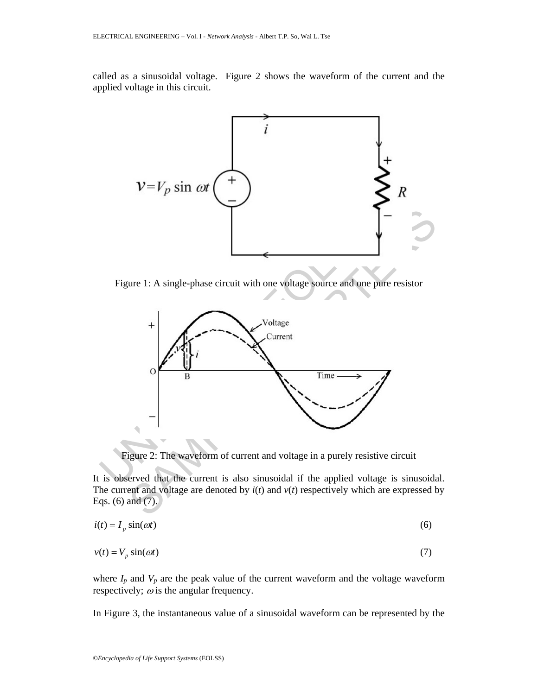called as a sinusoidal voltage. Figure 2 shows the waveform of the current and the applied voltage in this circuit.



Figure 1: A single-phase circuit with one voltage source and one pure resistor



Figure 2: The waveform of current and voltage in a purely resistive circuit

It is observed that the current is also sinusoidal if the applied voltage is sinusoidal. The current and voltage are denoted by  $i(t)$  and  $v(t)$  respectively which are expressed by Eqs. (6) and (7).

$$
i(t) = I_p \sin(\omega t) \tag{6}
$$

$$
v(t) = V_p \sin(\omega t) \tag{7}
$$

where  $I_p$  and  $V_p$  are the peak value of the current waveform and the voltage waveform respectively;  $\omega$  is the angular frequency.

In Figure 3, the instantaneous value of a sinusoidal waveform can be represented by the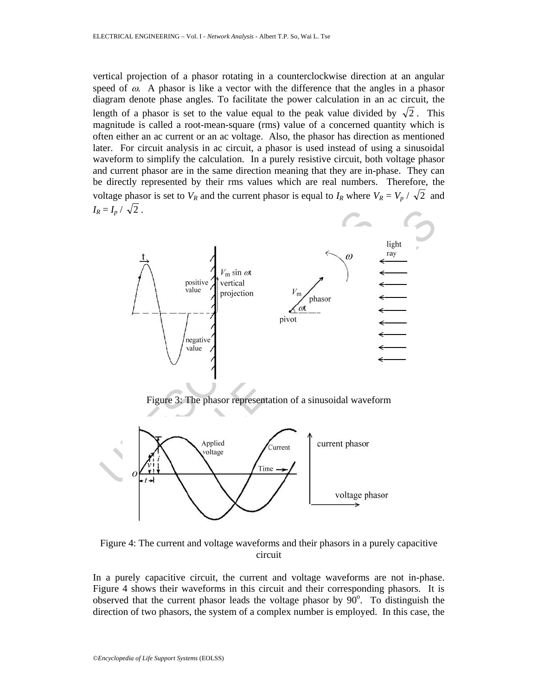vertical projection of a phasor rotating in a counterclockwise direction at an angular speed of  $\omega$ . A phasor is like a vector with the difference that the angles in a phasor diagram denote phase angles. To facilitate the power calculation in an ac circuit, the length of a phasor is set to the value equal to the peak value divided by  $\sqrt{2}$ . This magnitude is called a root-mean-square (rms) value of a concerned quantity which is often either an ac current or an ac voltage. Also, the phasor has direction as mentioned later. For circuit analysis in ac circuit, a phasor is used instead of using a sinusoidal waveform to simplify the calculation. In a purely resistive circuit, both voltage phasor and current phasor are in the same direction meaning that they are in-phase. They can be directly represented by their rms values which are real numbers. Therefore, the voltage phasor is set to  $V_R$  and the current phasor is equal to  $I_R$  where  $V_R = V_p / \sqrt{2}$  and  $I_R = I_p / \sqrt{2}$ .







Figure 4: The current and voltage waveforms and their phasors in a purely capacitive circuit

In a purely capacitive circuit, the current and voltage waveforms are not in-phase. Figure 4 shows their waveforms in this circuit and their corresponding phasors. It is observed that the current phasor leads the voltage phasor by  $90^\circ$ . To distinguish the direction of two phasors, the system of a complex number is employed. In this case, the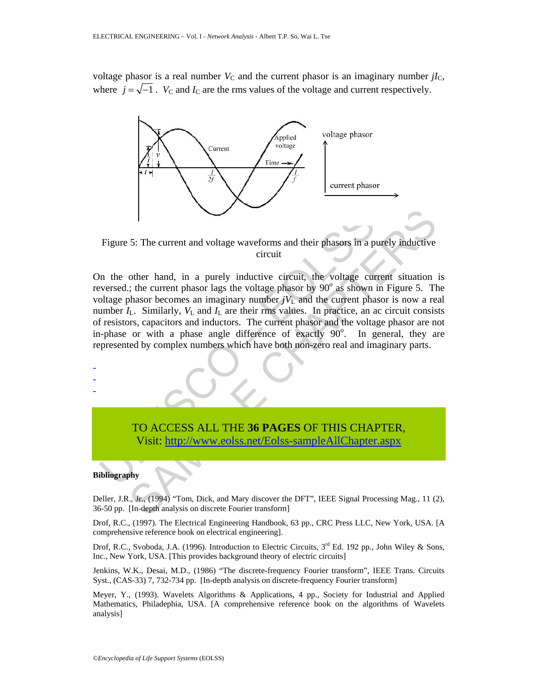voltage phasor is a real number  $V<sub>C</sub>$  and the current phasor is an imaginary number  $iI<sub>C</sub>$ , where  $j = \sqrt{-1}$ . *V*<sub>C</sub> and *I*<sub>C</sub> are the rms values of the voltage and current respectively.



Figure 5: The current and voltage waveforms and their phasors in a purely inductive circuit

On the other hand, in a purely inductive circuit, the voltage current situation is reversed.; the current phasor lags the voltage phasor by  $90^\circ$  as shown in Figure 5. The voltage phasor becomes an imaginary number  $jV<sub>L</sub>$  and the current phasor is now a real number  $I_L$ . Similarly,  $V_L$  and  $I_L$  are their rms values. In practice, an ac circuit consists of resistors, capacitors and inductors. The current phasor and the voltage phasor are not in-phase or with a phase angle difference of exactly  $90^\circ$ . In general, they are represented by complex numbers which have both non-zero real and imaginary parts.



#### **Bibliography**

Deller, J.R., Jr., (1994) "Tom, Dick, and Mary discover the DFT", IEEE Signal Processing Mag., 11 (2), 36-50 pp. [In-depth analysis on discrete Fourier transform]

Drof, R.C., (1997). The Electrical Engineering Handbook, 63 pp., CRC Press LLC, New York, USA. [A comprehensive reference book on electrical engineering].

Drof, R.C., Svoboda, J.A. (1996). Introduction to Electric Circuits,  $3<sup>rd</sup>$  Ed. 192 pp., John Wiley & Sons, Inc., New York, USA. [This provides background theory of electric circuits]

Jenkins, W.K., Desai, M.D., (1986) "The discrete-frequency Fourier transform", IEEE Trans. Circuits Syst., (CAS-33) 7, 732-734 pp. [In-depth analysis on discrete-frequency Fourier transform]

Meyer, Y., (1993). Wavelets Algorithms & Applications, 4 pp., Society for Industrial and Applied Mathematics, Philadephia, USA. [A comprehensive reference book on the algorithms of Wavelets analysis]